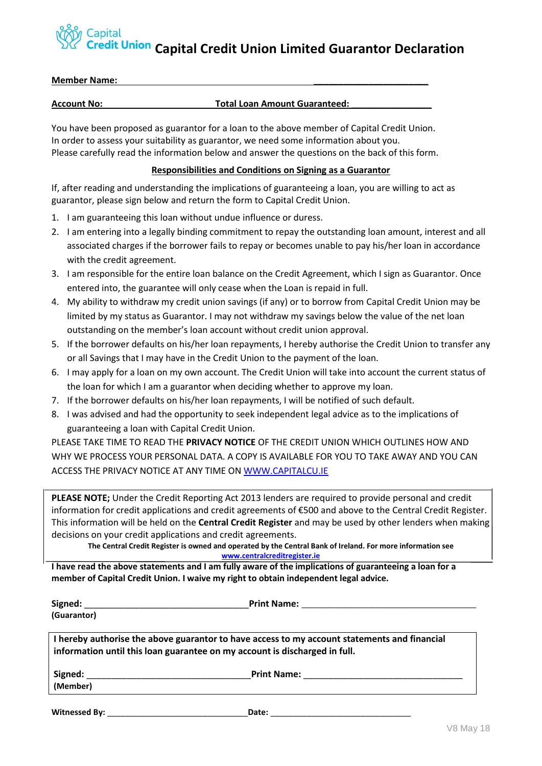## **Capital Capital Credit Union Limited Guarantor Declaration**

| <b>Member Name:</b> |                                      |
|---------------------|--------------------------------------|
|                     |                                      |
| <b>Account No:</b>  | <b>Total Loan Amount Guaranteed:</b> |

You have been proposed as guarantor for a loan to the above member of Capital Credit Union. In order to assess your suitability as guarantor, we need some information about you. Please carefully read the information below and answer the questions on the back of this form.

## **Responsibilities and Conditions on Signing as a Guarantor**

If, after reading and understanding the implications of guaranteeing a loan, you are willing to act as guarantor, please sign below and return the form to Capital Credit Union.

- 1. I am guaranteeing this loan without undue influence or duress.
- 2. I am entering into a legally binding commitment to repay the outstanding loan amount, interest and all associated charges if the borrower fails to repay or becomes unable to pay his/her loan in accordance with the credit agreement.
- 3. I am responsible for the entire loan balance on the Credit Agreement, which I sign as Guarantor. Once entered into, the guarantee will only cease when the Loan is repaid in full.
- 4. My ability to withdraw my credit union savings (if any) or to borrow from Capital Credit Union may be limited by my status as Guarantor. I may not withdraw my savings below the value of the net loan outstanding on the member's loan account without credit union approval.
- 5. If the borrower defaults on his/her loan repayments, I hereby authorise the Credit Union to transfer any or all Savings that I may have in the Credit Union to the payment of the loan.
- 6. I may apply for a loan on my own account. The Credit Union will take into account the current status of the loan for which I am a guarantor when deciding whether to approve my loan.
- 7. If the borrower defaults on his/her loan repayments, I will be notified of such default.
- 8. I was advised and had the opportunity to seek independent legal advice as to the implications of guaranteeing a loan with Capital Credit Union.

PLEASE TAKE TIME TO READ THE **PRIVACY NOTICE** OF THE CREDIT UNION WHICH OUTLINES HOW AND WHY WE PROCESS YOUR PERSONAL DATA. A COPY IS AVAILABLE FOR YOU TO TAKE AWAY AND YOU CAN ACCESS THE PRIVACY NOTICE AT ANY TIME O[N WWW.CAPITALCU.IE](http://www.capitalcu.ie/)

**PLEASE NOTE;** Under the Credit Reporting Act 2013 lenders are required to provide personal and credit information for credit applications and credit agreements of €500 and above to the Central Credit Register. This information will be held on the **Central Credit Register** and may be used by other lenders when making decisions on your credit applications and credit agreements.

**The Central Credit Register is owned and operated by the Central Bank of Ireland. For more information see [www.centralcreditregister.ie](http://www.centralcreditregister.ie/)**

**I have read the above statements and I am fully aware of the implications of guaranteeing a loan for a member of Capital Credit Union. I waive my right to obtain independent legal advice.**

|                                                                            | Print Name: <u>_______________________________</u>                                           |
|----------------------------------------------------------------------------|----------------------------------------------------------------------------------------------|
| (Guarantor)                                                                |                                                                                              |
| information until this loan guarantee on my account is discharged in full. | I hereby authorise the above guarantor to have access to my account statements and financial |
| Signed:<br>(Member)                                                        | Print Name: <u>________________________</u>                                                  |

**Witnessed By:** \_\_\_\_\_\_\_\_\_\_\_\_\_\_\_\_\_\_\_\_\_\_\_\_\_\_\_\_\_\_\_**Date:** \_\_\_\_\_\_\_\_\_\_\_\_\_\_\_\_\_\_\_\_\_\_\_\_\_\_\_\_\_\_\_